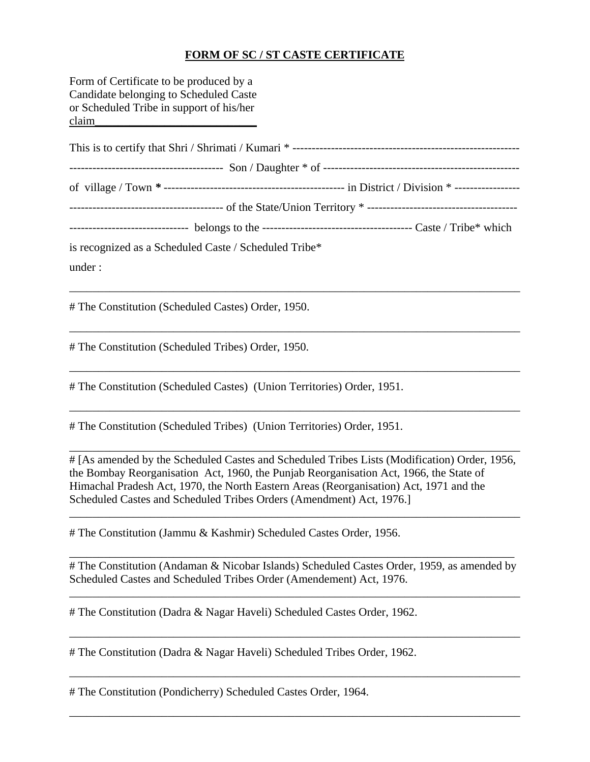## **FORM OF SC / ST CASTE CERTIFICATE**

Form of Certificate to be produced by a Candidate belonging to Scheduled Caste or Scheduled Tribe in support of his/her claim\_\_\_\_\_\_\_\_\_\_\_\_\_\_\_\_\_\_\_\_\_\_\_\_\_\_\_\_

| $\frac{1}{2}$ continues the set of the $\frac{1}{2}$ continues to the $\frac{1}{2}$ continues the set of the set of the subset of the subset of the set of the subset of the subset of the subset of the set of the set of the set of the |  |  |  |
|-------------------------------------------------------------------------------------------------------------------------------------------------------------------------------------------------------------------------------------------|--|--|--|
| is recognized as a Scheduled Caste / Scheduled Tribe*                                                                                                                                                                                     |  |  |  |
| under :                                                                                                                                                                                                                                   |  |  |  |

\_\_\_\_\_\_\_\_\_\_\_\_\_\_\_\_\_\_\_\_\_\_\_\_\_\_\_\_\_\_\_\_\_\_\_\_\_\_\_\_\_\_\_\_\_\_\_\_\_\_\_\_\_\_\_\_\_\_\_\_\_\_\_\_\_\_\_\_\_\_\_\_\_\_\_\_\_\_

\_\_\_\_\_\_\_\_\_\_\_\_\_\_\_\_\_\_\_\_\_\_\_\_\_\_\_\_\_\_\_\_\_\_\_\_\_\_\_\_\_\_\_\_\_\_\_\_\_\_\_\_\_\_\_\_\_\_\_\_\_\_\_\_\_\_\_\_\_\_\_\_\_\_\_\_\_\_

\_\_\_\_\_\_\_\_\_\_\_\_\_\_\_\_\_\_\_\_\_\_\_\_\_\_\_\_\_\_\_\_\_\_\_\_\_\_\_\_\_\_\_\_\_\_\_\_\_\_\_\_\_\_\_\_\_\_\_\_\_\_\_\_\_\_\_\_\_\_\_\_\_\_\_\_\_\_

\_\_\_\_\_\_\_\_\_\_\_\_\_\_\_\_\_\_\_\_\_\_\_\_\_\_\_\_\_\_\_\_\_\_\_\_\_\_\_\_\_\_\_\_\_\_\_\_\_\_\_\_\_\_\_\_\_\_\_\_\_\_\_\_\_\_\_\_\_\_\_\_\_\_\_\_\_\_

# The Constitution (Scheduled Castes) Order, 1950.

# The Constitution (Scheduled Tribes) Order, 1950.

# The Constitution (Scheduled Castes) (Union Territories) Order, 1951.

# The Constitution (Scheduled Tribes) (Union Territories) Order, 1951.

# [As amended by the Scheduled Castes and Scheduled Tribes Lists (Modification) Order, 1956, the Bombay Reorganisation Act, 1960, the Punjab Reorganisation Act, 1966, the State of Himachal Pradesh Act, 1970, the North Eastern Areas (Reorganisation) Act, 1971 and the Scheduled Castes and Scheduled Tribes Orders (Amendment) Act, 1976.]

\_\_\_\_\_\_\_\_\_\_\_\_\_\_\_\_\_\_\_\_\_\_\_\_\_\_\_\_\_\_\_\_\_\_\_\_\_\_\_\_\_\_\_\_\_\_\_\_\_\_\_\_\_\_\_\_\_\_\_\_\_\_\_\_\_\_\_\_\_\_\_\_\_\_\_\_\_\_

\_\_\_\_\_\_\_\_\_\_\_\_\_\_\_\_\_\_\_\_\_\_\_\_\_\_\_\_\_\_\_\_\_\_\_\_\_\_\_\_\_\_\_\_\_\_\_\_\_\_\_\_\_\_\_\_\_\_\_\_\_\_\_\_\_\_\_\_\_\_\_\_\_\_\_\_\_\_

# The Constitution (Jammu & Kashmir) Scheduled Castes Order, 1956.

# The Constitution (Andaman & Nicobar Islands) Scheduled Castes Order, 1959, as amended by Scheduled Castes and Scheduled Tribes Order (Amendement) Act, 1976.

\_\_\_\_\_\_\_\_\_\_\_\_\_\_\_\_\_\_\_\_\_\_\_\_\_\_\_\_\_\_\_\_\_\_\_\_\_\_\_\_\_\_\_\_\_\_\_\_\_\_\_\_\_\_\_\_\_\_\_\_\_\_\_\_\_\_\_\_\_\_\_\_\_\_\_\_\_\_

\_\_\_\_\_\_\_\_\_\_\_\_\_\_\_\_\_\_\_\_\_\_\_\_\_\_\_\_\_\_\_\_\_\_\_\_\_\_\_\_\_\_\_\_\_\_\_\_\_\_\_\_\_\_\_\_\_\_\_\_\_\_\_\_\_\_\_\_\_\_\_\_\_\_\_\_\_\_

\_\_\_\_\_\_\_\_\_\_\_\_\_\_\_\_\_\_\_\_\_\_\_\_\_\_\_\_\_\_\_\_\_\_\_\_\_\_\_\_\_\_\_\_\_\_\_\_\_\_\_\_\_\_\_\_\_\_\_\_\_\_\_\_\_\_\_\_\_\_\_\_\_\_\_\_\_\_

\_\_\_\_\_\_\_\_\_\_\_\_\_\_\_\_\_\_\_\_\_\_\_\_\_\_\_\_\_\_\_\_\_\_\_\_\_\_\_\_\_\_\_\_\_\_\_\_\_\_\_\_\_\_\_\_\_\_\_\_\_\_\_\_\_\_\_\_\_\_\_\_\_\_\_\_\_\_

\_\_\_\_\_\_\_\_\_\_\_\_\_\_\_\_\_\_\_\_\_\_\_\_\_\_\_\_\_\_\_\_\_\_\_\_\_\_\_\_\_\_\_\_\_\_\_\_\_\_\_\_\_\_\_\_\_\_\_\_\_\_\_\_\_\_\_\_\_\_\_\_\_\_\_\_\_

# The Constitution (Dadra & Nagar Haveli) Scheduled Castes Order, 1962.

# The Constitution (Dadra & Nagar Haveli) Scheduled Tribes Order, 1962.

# The Constitution (Pondicherry) Scheduled Castes Order, 1964.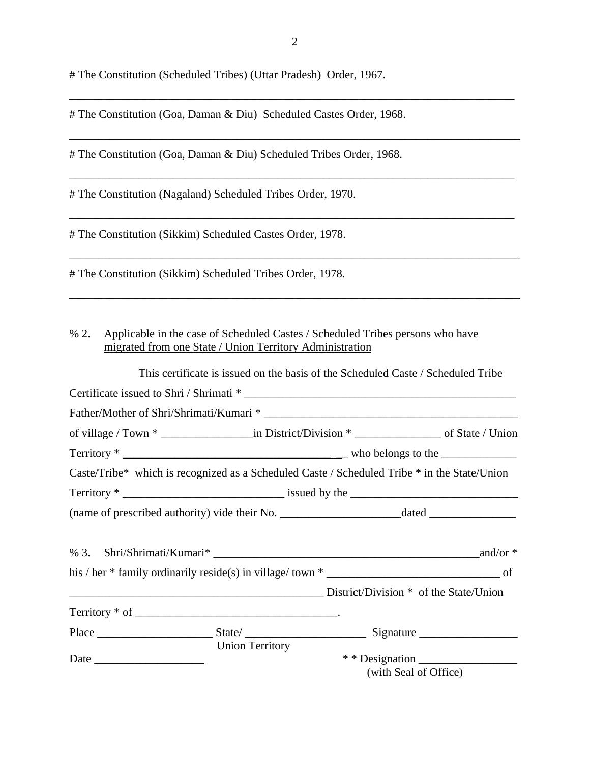# The Constitution (Scheduled Tribes) (Uttar Pradesh) Order, 1967.

# The Constitution (Goa, Daman & Diu) Scheduled Castes Order, 1968.

# The Constitution (Goa, Daman & Diu) Scheduled Tribes Order, 1968.

# The Constitution (Nagaland) Scheduled Tribes Order, 1970.

# The Constitution (Sikkim) Scheduled Castes Order, 1978.

# The Constitution (Sikkim) Scheduled Tribes Order, 1978.

## % 2. Applicable in the case of Scheduled Castes / Scheduled Tribes persons who have migrated from one State / Union Territory Administration

|  |                        | This certificate is issued on the basis of the Scheduled Caste / Scheduled Tribe             |                       |  |
|--|------------------------|----------------------------------------------------------------------------------------------|-----------------------|--|
|  |                        |                                                                                              |                       |  |
|  |                        |                                                                                              |                       |  |
|  |                        |                                                                                              |                       |  |
|  |                        |                                                                                              |                       |  |
|  |                        | Caste/Tribe* which is recognized as a Scheduled Caste / Scheduled Tribe * in the State/Union |                       |  |
|  |                        | $Territory * \n$                                                                             |                       |  |
|  |                        |                                                                                              |                       |  |
|  |                        |                                                                                              |                       |  |
|  |                        |                                                                                              | and/or $*$            |  |
|  |                        |                                                                                              |                       |  |
|  |                        | District/Division * of the State/Union                                                       |                       |  |
|  |                        |                                                                                              |                       |  |
|  |                        |                                                                                              |                       |  |
|  | <b>Union Territory</b> |                                                                                              |                       |  |
|  |                        |                                                                                              |                       |  |
|  |                        |                                                                                              | (with Seal of Office) |  |

\_\_\_\_\_\_\_\_\_\_\_\_\_\_\_\_\_\_\_\_\_\_\_\_\_\_\_\_\_\_\_\_\_\_\_\_\_\_\_\_\_\_\_\_\_\_\_\_\_\_\_\_\_\_\_\_\_\_\_\_\_\_\_\_\_\_\_\_\_\_\_\_\_\_\_\_\_

\_\_\_\_\_\_\_\_\_\_\_\_\_\_\_\_\_\_\_\_\_\_\_\_\_\_\_\_\_\_\_\_\_\_\_\_\_\_\_\_\_\_\_\_\_\_\_\_\_\_\_\_\_\_\_\_\_\_\_\_\_\_\_\_\_\_\_\_\_\_\_\_\_\_\_\_\_\_

\_\_\_\_\_\_\_\_\_\_\_\_\_\_\_\_\_\_\_\_\_\_\_\_\_\_\_\_\_\_\_\_\_\_\_\_\_\_\_\_\_\_\_\_\_\_\_\_\_\_\_\_\_\_\_\_\_\_\_\_\_\_\_\_\_\_\_\_\_\_\_\_\_\_\_\_\_

\_\_\_\_\_\_\_\_\_\_\_\_\_\_\_\_\_\_\_\_\_\_\_\_\_\_\_\_\_\_\_\_\_\_\_\_\_\_\_\_\_\_\_\_\_\_\_\_\_\_\_\_\_\_\_\_\_\_\_\_\_\_\_\_\_\_\_\_\_\_\_\_\_\_\_\_\_

\_\_\_\_\_\_\_\_\_\_\_\_\_\_\_\_\_\_\_\_\_\_\_\_\_\_\_\_\_\_\_\_\_\_\_\_\_\_\_\_\_\_\_\_\_\_\_\_\_\_\_\_\_\_\_\_\_\_\_\_\_\_\_\_\_\_\_\_\_\_\_\_\_\_\_\_\_\_

\_\_\_\_\_\_\_\_\_\_\_\_\_\_\_\_\_\_\_\_\_\_\_\_\_\_\_\_\_\_\_\_\_\_\_\_\_\_\_\_\_\_\_\_\_\_\_\_\_\_\_\_\_\_\_\_\_\_\_\_\_\_\_\_\_\_\_\_\_\_\_\_\_\_\_\_\_\_